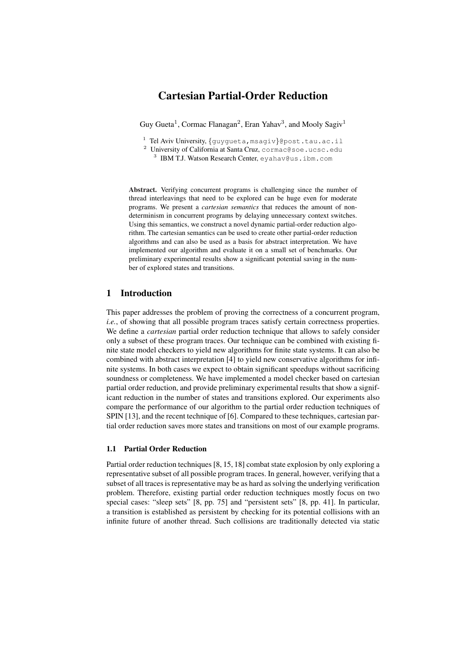# Cartesian Partial-Order Reduction

Guy Gueta<sup>1</sup>, Cormac Flanagan<sup>2</sup>, Eran Yahav<sup>3</sup>, and Mooly Sagiv<sup>1</sup>

 $1$  Tel Aviv University, {guygueta, msagiv}@post.tau.ac.il

<sup>2</sup> University of California at Santa Cruz, cormac@soe.ucsc.edu

<sup>3</sup> IBM T.J. Watson Research Center, eyahav@us.ibm.com

Abstract. Verifying concurrent programs is challenging since the number of thread interleavings that need to be explored can be huge even for moderate programs. We present a *cartesian semantics* that reduces the amount of nondeterminism in concurrent programs by delaying unnecessary context switches. Using this semantics, we construct a novel dynamic partial-order reduction algorithm. The cartesian semantics can be used to create other partial-order reduction algorithms and can also be used as a basis for abstract interpretation. We have implemented our algorithm and evaluate it on a small set of benchmarks. Our preliminary experimental results show a significant potential saving in the number of explored states and transitions.

# 1 Introduction

This paper addresses the problem of proving the correctness of a concurrent program, *i.e.*, of showing that all possible program traces satisfy certain correctness properties. We define a *cartesian* partial order reduction technique that allows to safely consider only a subset of these program traces. Our technique can be combined with existing finite state model checkers to yield new algorithms for finite state systems. It can also be combined with abstract interpretation [4] to yield new conservative algorithms for infinite systems. In both cases we expect to obtain significant speedups without sacrificing soundness or completeness. We have implemented a model checker based on cartesian partial order reduction, and provide preliminary experimental results that show a significant reduction in the number of states and transitions explored. Our experiments also compare the performance of our algorithm to the partial order reduction techniques of SPIN [13], and the recent technique of [6]. Compared to these techniques, cartesian partial order reduction saves more states and transitions on most of our example programs.

#### 1.1 Partial Order Reduction

Partial order reduction techniques [8, 15, 18] combat state explosion by only exploring a representative subset of all possible program traces. In general, however, verifying that a subset of all traces is representative may be as hard as solving the underlying verification problem. Therefore, existing partial order reduction techniques mostly focus on two special cases: "sleep sets" [8, pp. 75] and "persistent sets" [8, pp. 41]. In particular, a transition is established as persistent by checking for its potential collisions with an infinite future of another thread. Such collisions are traditionally detected via static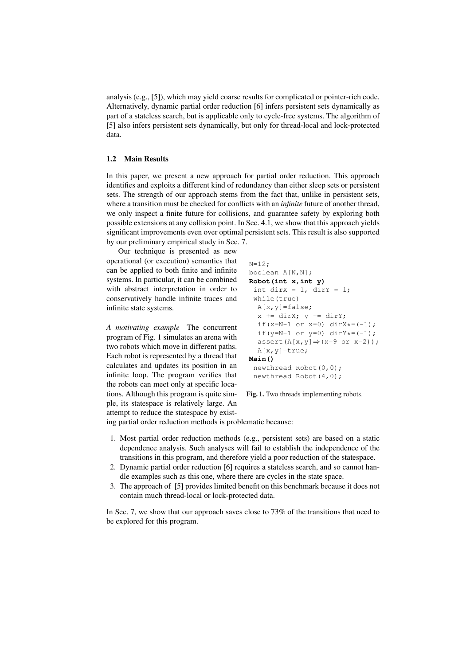analysis (e.g., [5]), which may yield coarse results for complicated or pointer-rich code. Alternatively, dynamic partial order reduction [6] infers persistent sets dynamically as part of a stateless search, but is applicable only to cycle-free systems. The algorithm of [5] also infers persistent sets dynamically, but only for thread-local and lock-protected data.

### 1.2 Main Results

In this paper, we present a new approach for partial order reduction. This approach identifies and exploits a different kind of redundancy than either sleep sets or persistent sets. The strength of our approach stems from the fact that, unlike in persistent sets, where a transition must be checked for conflicts with an *infinite* future of another thread, we only inspect a finite future for collisions, and guarantee safety by exploring both possible extensions at any collision point. In Sec. 4.1, we show that this approach yields significant improvements even over optimal persistent sets. This result is also supported by our preliminary empirical study in Sec. 7.

Our technique is presented as new operational (or execution) semantics that can be applied to both finite and infinite systems. In particular, it can be combined with abstract interpretation in order to conservatively handle infinite traces and infinite state systems.

*A motivating example* The concurrent program of Fig. 1 simulates an arena with two robots which move in different paths. Each robot is represented by a thread that calculates and updates its position in an infinite loop. The program verifies that the robots can meet only at specific locations. Although this program is quite simple, its statespace is relatively large. An attempt to reduce the statespace by exist-

```
N=12:
boolean A[N,N];
Robot(int x,int y)
 int dirX = 1, dirY = 1;
 while(true)
  A[x,y]=false;
  x += dirX; y += dirY;
  if(x=N-1 or x=0) dirX*=(-1);
  if(y=N-1 or y=0) dirY *=(-1);
  assert(A[x, y] \Rightarrow (x=9 \text{ or } x=2));
  A[x,y]=true;
Main()
 newthread Robot(0,0);
 newthread Robot(4,0);
```
Fig. 1. Two threads implementing robots.

ing partial order reduction methods is problematic because:

- 1. Most partial order reduction methods (e.g., persistent sets) are based on a static dependence analysis. Such analyses will fail to establish the independence of the transitions in this program, and therefore yield a poor reduction of the statespace.
- 2. Dynamic partial order reduction [6] requires a stateless search, and so cannot handle examples such as this one, where there are cycles in the state space.
- 3. The approach of [5] provides limited benefit on this benchmark because it does not contain much thread-local or lock-protected data.

In Sec. 7, we show that our approach saves close to 73% of the transitions that need to be explored for this program.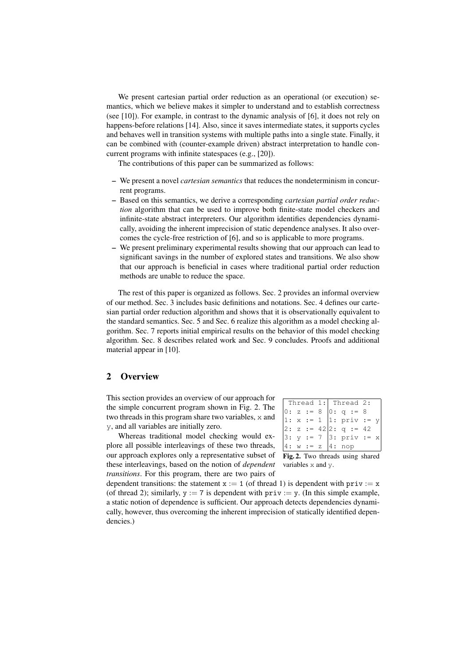We present cartesian partial order reduction as an operational (or execution) semantics, which we believe makes it simpler to understand and to establish correctness (see [10]). For example, in contrast to the dynamic analysis of [6], it does not rely on happens-before relations [14]. Also, since it saves intermediate states, it supports cycles and behaves well in transition systems with multiple paths into a single state. Finally, it can be combined with (counter-example driven) abstract interpretation to handle concurrent programs with infinite statespaces (e.g., [20]).

The contributions of this paper can be summarized as follows:

- We present a novel *cartesian semantics* that reduces the nondeterminism in concurrent programs.
- Based on this semantics, we derive a corresponding *cartesian partial order reduction* algorithm that can be used to improve both finite-state model checkers and infinite-state abstract interpreters. Our algorithm identifies dependencies dynamically, avoiding the inherent imprecision of static dependence analyses. It also overcomes the cycle-free restriction of [6], and so is applicable to more programs.
- We present preliminary experimental results showing that our approach can lead to significant savings in the number of explored states and transitions. We also show that our approach is beneficial in cases where traditional partial order reduction methods are unable to reduce the space.

The rest of this paper is organized as follows. Sec. 2 provides an informal overview of our method. Sec. 3 includes basic definitions and notations. Sec. 4 defines our cartesian partial order reduction algorithm and shows that it is observationally equivalent to the standard semantics. Sec. 5 and Sec. 6 realize this algorithm as a model checking algorithm. Sec. 7 reports initial empirical results on the behavior of this model checking algorithm. Sec. 8 describes related work and Sec. 9 concludes. Proofs and additional material appear in [10].

## 2 Overview

This section provides an overview of our approach for the simple concurrent program shown in Fig. 2. The two threads in this program share two variables, x and y, and all variables are initially zero.

Whereas traditional model checking would explore all possible interleavings of these two threads, our approach explores only a representative subset of these interleavings, based on the notion of *dependent transitions*. For this program, there are two pairs of

|                                   |  |  | $0: z := 8$ 0: q := 8 |  |  |  |  |                                        |  |  |
|-----------------------------------|--|--|-----------------------|--|--|--|--|----------------------------------------|--|--|
|                                   |  |  |                       |  |  |  |  | $ 1: x := 1   1: \text{priv} := y$     |  |  |
|                                   |  |  |                       |  |  |  |  | $ 2: z := 42 2: q := 42$               |  |  |
|                                   |  |  |                       |  |  |  |  | $3: y := 7 \;  3: \; \text{priv} := x$ |  |  |
|                                   |  |  | $ 4: w := z  4: nop$  |  |  |  |  |                                        |  |  |
| Fig. 2. Two threads using shared  |  |  |                       |  |  |  |  |                                        |  |  |
| variables $\times$ and $\times$ . |  |  |                       |  |  |  |  |                                        |  |  |

dependent transitions: the statement  $x := 1$  (of thread 1) is dependent with  $\text{priv} := x$ (of thread 2); similarly,  $y := 7$  is dependent with priv := y. (In this simple example, a static notion of dependence is sufficient. Our approach detects dependencies dynamically, however, thus overcoming the inherent imprecision of statically identified dependencies.)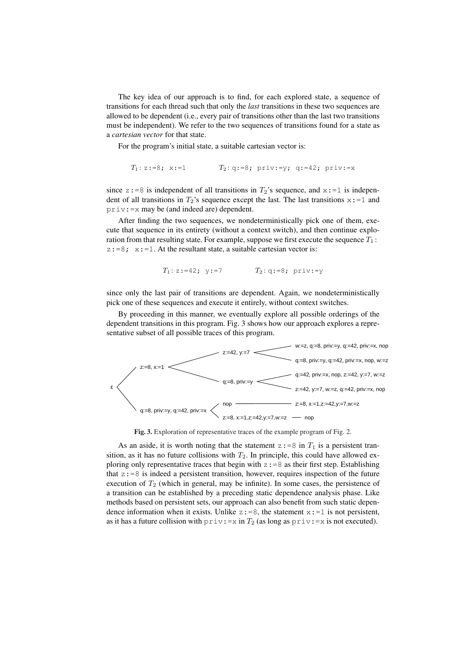The key idea of our approach is to find, for each explored state, a sequence of transitions for each thread such that only the *last* transitions in these two sequences are allowed to be dependent (i.e., every pair of transitions other than the last two transitions must be independent). We refer to the two sequences of transitions found for a state as a *cartesian vector* for that state.

For the program's initial state, a suitable cartesian vector is:

$$
T_1: z := 8; x := 1
$$
  $T_2: q := 8; \text{priv} := y; q := 42; \text{priv} := x$ 

since  $z := 8$  is independent of all transitions in  $T_2$ 's sequence, and  $x := 1$  is independent of all transitions in  $T_2$ 's sequence except the last. The last transitions  $x:=1$  and  $\text{priv}$ : = x may be (and indeed are) dependent.

After finding the two sequences, we nondeterministically pick one of them, execute that sequence in its entirety (without a context switch), and then continue exploration from that resulting state. For example, suppose we first execute the sequence  $T_1$ :  $z:=8$ ;  $x:=1$ . At the resultant state, a suitable cartesian vector is:

$$
T_1: z:=42; y:=7
$$
  $T_2: q:=8; \text{priv}:=y$ 

since only the last pair of transitions are dependent. Again, we nondeterministically pick one of these sequences and execute it entirely, without context switches.

By proceeding in this manner, we eventually explore all possible orderings of the dependent transitions in this program. Fig. 3 shows how our approach explores a representative subset of all possible traces of this program.



Fig. 3. Exploration of representative traces of the example program of Fig. 2.

As an aside, it is worth noting that the statement  $z := 8$  in  $T_1$  is a persistent transition, as it has no future collisions with  $T_2$ . In principle, this could have allowed exploring only representative traces that begin with  $z := 8$  as their first step. Establishing that  $z := 8$  is indeed a persistent transition, however, requires inspection of the future execution of  $T_2$  (which in general, may be infinite). In some cases, the persistence of a transition can be established by a preceding static dependence analysis phase. Like methods based on persistent sets, our approach can also benefit from such static dependence information when it exists. Unlike  $z := 8$ , the statement  $x := 1$  is not persistent, as it has a future collision with  $\text{priv}:=x$  in  $T_2$  (as long as  $\text{priv}:=x$  is not executed).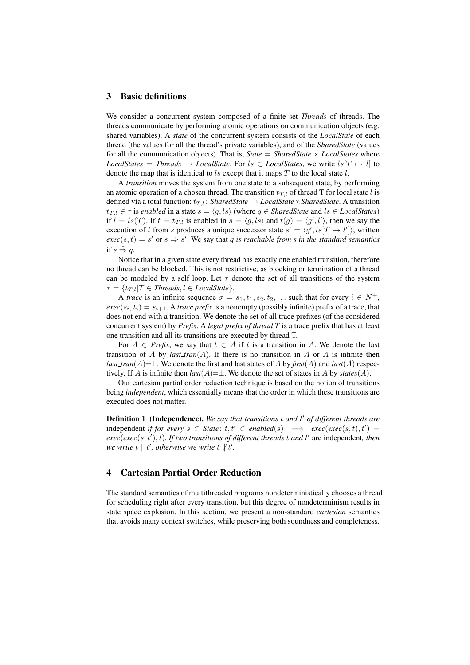# 3 Basic definitions

We consider a concurrent system composed of a finite set *Threads* of threads. The threads communicate by performing atomic operations on communication objects (e.g. shared variables). A *state* of the concurrent system consists of the *LocalState* of each thread (the values for all the thread's private variables), and of the *SharedState* (values for all the communication objects). That is, *State* = *SharedState* × *LocalStates* where *LocalStates* = *Threads*  $\rightarrow$  *LocalState*. For ls  $\in$  *LocalStates*, we write ls[T  $\rightarrow$  l] to denote the map that is identical to ls except that it maps  $T$  to the local state l.

A *transition* moves the system from one state to a subsequent state, by performing an atomic operation of a chosen thread. The transition  $t_{T,l}$  of thread T for local state l is defined via a total function:  $t_{T,l}$ : *SharedState*  $\rightarrow$  *LocalState*  $\times$  *SharedState*. A transition  $t_{T,l} \in \tau$  is *enabled* in a state  $s = \langle g, ls \rangle$  (where  $g \in SharedState$  and  $ls \in LocalStates$ ) if  $l = ls(T)$ . If  $t = t_{T,l}$  is enabled in  $s = \langle g, ls \rangle$  and  $t(g) = \langle g', l' \rangle$ , then we say the execution of t from s produces a unique successor state  $s' = \langle g', ls[T \mapsto l'] \rangle$ , written  $exec(s, t) = s'$  or  $s \Rightarrow s'$ . We say that *q* is reachable from *s* in the standard semantics if  $s \stackrel{*}{\Rightarrow} q$ .

Notice that in a given state every thread has exactly one enabled transition, therefore no thread can be blocked. This is not restrictive, as blocking or termination of a thread can be modeled by a self loop. Let  $\tau$  denote the set of all transitions of the system  $\tau = \{t_{T,l} | T \in \text{Threads}, l \in \text{LocalState}\}.$ 

A *trace* is an infinite sequence  $\sigma = s_1, t_1, s_2, t_2, \ldots$  such that for every  $i \in N^+$ ,  $exec(s_i, t_i) = s_{i+1}$ . A *trace prefix* is a nonempty (possibly infinite) prefix of a trace, that does not end with a transition. We denote the set of all trace prefixes (of the considered concurrent system) by *Prefix*. A *legal prefix of thread T* is a trace prefix that has at least one transition and all its transitions are executed by thread T.

For  $A \in \text{Prefix}$ , we say that  $t \in A$  if t is a transition in A. We denote the last transition of A by  $last\_tran(A)$ . If there is no transition in A or A is infinite then *last\_tran*( $A$ )= $\perp$ . We denote the first and last states of A by *first*( $A$ ) and *last*( $A$ ) respectively. If A is infinite then  $last(A)=\perp$ . We denote the set of states in A by *states*(A).

Our cartesian partial order reduction technique is based on the notion of transitions being *independent*, which essentially means that the order in which these transitions are executed does not matter.

**Definition 1 (Independence).** We say that transitions t and t' of different threads are independent *if for every*  $s \in State$ :  $t, t' \in enabled(s) \implies exec(exec(s, t), t')$  =  $exec(exec(s, t'), t)$ *. If two transitions of different threads t and*  $t'$  are independent, then *we write*  $t \parallel t'$ , otherwise we write  $t \not\parallel t'$ .

# 4 Cartesian Partial Order Reduction

The standard semantics of multithreaded programs nondeterministically chooses a thread for scheduling right after every transition, but this degree of nondeterminism results in state space explosion. In this section, we present a non-standard *cartesian* semantics that avoids many context switches, while preserving both soundness and completeness.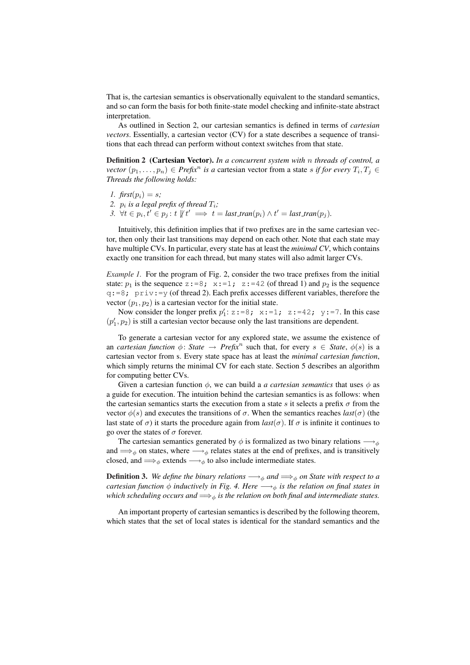That is, the cartesian semantics is observationally equivalent to the standard semantics, and so can form the basis for both finite-state model checking and infinite-state abstract interpretation.

As outlined in Section 2, our cartesian semantics is defined in terms of *cartesian vectors*. Essentially, a cartesian vector (CV) for a state describes a sequence of transitions that each thread can perform without context switches from that state.

Definition 2 (Cartesian Vector). *In a concurrent system with* n *threads of control, a vector*  $(p_1, \ldots, p_n) \in \text{Prefix}^n$  *is a* cartesian vector from a state *s if for every*  $T_i, T_j \in$ *Threads the following holds:*

- *1.*  $\text{first}(p_i) = s$ ;
- 2.  $p_i$  is a legal prefix of thread  $T_i$ ;
- 3.  $\forall t \in p_i, t' \in p_j : t \nparallel t' \implies t = last\_tran(p_i) \land t' = last\_tran(p_j).$

Intuitively, this definition implies that if two prefixes are in the same cartesian vector, then only their last transitions may depend on each other. Note that each state may have multiple CVs. In particular, every state has at least the *minimal CV*, which contains exactly one transition for each thread, but many states will also admit larger CVs.

*Example 1.* For the program of Fig. 2, consider the two trace prefixes from the initial state:  $p_1$  is the sequence  $z := 8$ ;  $x := 1$ ;  $z := 42$  (of thread 1) and  $p_2$  is the sequence q:=8; priv:=y (of thread 2). Each prefix accesses different variables, therefore the vector  $(p_1, p_2)$  is a cartesian vector for the initial state.

Now consider the longer prefix  $p'_1$ :  $z := 8$ ;  $x := 1$ ;  $z := 42$ ;  $y := 7$ . In this case  $(p'_1, p_2)$  is still a cartesian vector because only the last transitions are dependent.

To generate a cartesian vector for any explored state, we assume the existence of an *cartesian function*  $\phi$ : *State*  $\rightarrow$  *Prefix*<sup>n</sup> such that, for every  $s \in$  *State*,  $\phi(s)$  is a cartesian vector from s. Every state space has at least the *minimal cartesian function*, which simply returns the minimal CV for each state. Section 5 describes an algorithm for computing better CVs.

Given a cartesian function  $\phi$ , we can build a *a cartesian semantics* that uses  $\phi$  as a guide for execution. The intuition behind the cartesian semantics is as follows: when the cartesian semantics starts the execution from a state s it selects a prefix  $\sigma$  from the vector φ(s) and executes the transitions of σ. When the semantics reaches *last*(σ) (the last state of  $\sigma$ ) it starts the procedure again from *last*( $\sigma$ ). If  $\sigma$  is infinite it continues to go over the states of  $\sigma$  forever.

The cartesian semantics generated by  $\phi$  is formalized as two binary relations  $\longrightarrow_{\phi}$ and  $\Longrightarrow_{\phi}$  on states, where  $\longrightarrow_{\phi}$  relates states at the end of prefixes, and is transitively closed, and  $\Longrightarrow_{\phi}$  extends  $\longrightarrow_{\phi}$  to also include intermediate states.

**Definition 3.** We define the binary relations  $\rightarrow$ <sub>φ</sub> and  $\Rightarrow$ <sub>φ</sub> on State with respect to a *cartesian function*  $\phi$  *inductively in Fig. 4. Here*  $\longrightarrow_{\phi}$  *is the relation on final states in which scheduling occurs and*  $\Longrightarrow_{\phi}$  *is the relation on both final and intermediate states.* 

An important property of cartesian semantics is described by the following theorem, which states that the set of local states is identical for the standard semantics and the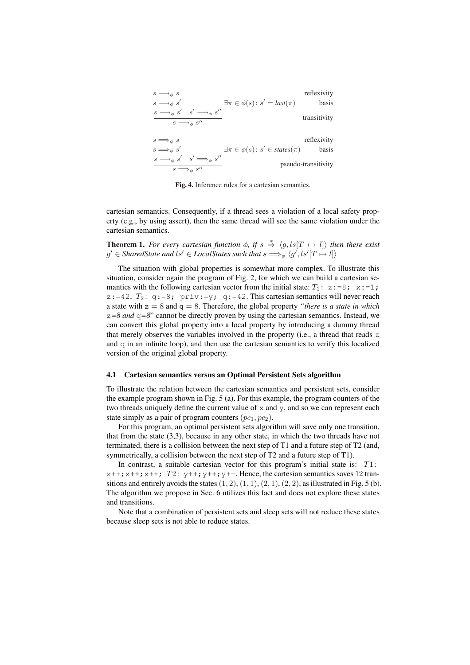$$
s \longrightarrow_{\phi} s
$$
reflexivity  
\n
$$
s \longrightarrow_{\phi} s'
$$
  $\exists \pi \in \phi(s): s' = last(\pi)$  basis  
\n
$$
\underline{s \longrightarrow_{\phi} s'}
$$
 transitivity  
\n
$$
s \longrightarrow_{\phi} s'
$$
 transitivity  
\n
$$
s \longrightarrow_{\phi} s'
$$
reflexivity  
\n
$$
s \longrightarrow_{\phi} s'
$$
  $\exists \pi \in \phi(s): s' \in states(\pi)$  basis  
\n
$$
\underline{s \longrightarrow_{\phi} s'}
$$
 
$$
s \longrightarrow_{\phi} s''
$$
 pseudo-transitivity  
\n
$$
s \longrightarrow_{\phi} s''
$$

Fig. 4. Inference rules for a cartesian semantics.

cartesian semantics. Consequently, if a thread sees a violation of a local safety property (e.g., by using assert), then the same thread will see the same violation under the cartesian semantics.

**Theorem 1.** For every cartesian function  $\phi$ , if  $s \stackrel{*}{\Rightarrow} \langle g, ls[T \mapsto l] \rangle$  then there exist  $g' \in \mathit{SharedState}$  and  $ls' \in \mathit{LocalStates}$  such that  $s \Longrightarrow_{\phi} \langle g', ls'[T \mapsto l] \rangle$ 

The situation with global properties is somewhat more complex. To illustrate this situation, consider again the program of Fig. 2, for which we can build a cartesian semantics with the following cartesian vector from the initial state:  $T_1$ :  $z:=8$ ;  $x:=1$ ; z:=42,  $T_2$ : q:=8; priv:=y; q:=42. This cartesian semantics will never reach a state with  $z = 8$  and  $q = 8$ . Therefore, the global property *"there is a state in which* z*=8 and* q*=8*" cannot be directly proven by using the cartesian semantics. Instead, we can convert this global property into a local property by introducing a dummy thread that merely observes the variables involved in the property (i.e., a thread that reads z and  $q$  in an infinite loop), and then use the cartesian semantics to verify this localized version of the original global property.

#### 4.1 Cartesian semantics versus an Optimal Persistent Sets algorithm

To illustrate the relation between the cartesian semantics and persistent sets, consider the example program shown in Fig. 5 (a). For this example, the program counters of the two threads uniquely define the current value of  $x$  and  $y$ , and so we can represent each state simply as a pair of program counters  $(pc_1, pc_2)$ .

For this program, an optimal persistent sets algorithm will save only one transition, that from the state (3,3), because in any other state, in which the two threads have not terminated, there is a collision between the next step of T1 and a future step of T2 (and, symmetrically, a collision between the next step of T2 and a future step of T1).

In contrast, a suitable cartesian vector for this program's initial state is:  $T1$ :  $x_{+}$ ;  $x_{+}$ ;  $x_{+}$ ;  $T_2$ :  $y_{+}$ ;  $y_{+}$ ;  $y_{+}$ ;  $y_{+}$ . Hence, the cartesian semantics saves 12 transitions and entirely avoids the states  $(1, 2), (1, 1), (2, 1), (2, 2)$ , as illustrated in Fig. 5 (b). The algorithm we propose in Sec. 6 utilizes this fact and does not explore these states and transitions.

Note that a combination of persistent sets and sleep sets will not reduce these states because sleep sets is not able to reduce states.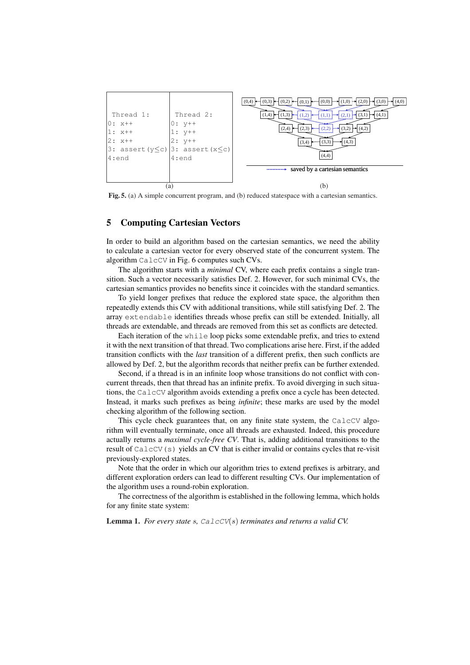

Fig. 5. (a) A simple concurrent program, and (b) reduced statespace with a cartesian semantics.

### 5 Computing Cartesian Vectors

In order to build an algorithm based on the cartesian semantics, we need the ability to calculate a cartesian vector for every observed state of the concurrent system. The algorithm CalcCV in Fig. 6 computes such CVs.

The algorithm starts with a *minimal* CV, where each prefix contains a single transition. Such a vector necessarily satisfies Def. 2. However, for such minimal CVs, the cartesian semantics provides no benefits since it coincides with the standard semantics.

To yield longer prefixes that reduce the explored state space, the algorithm then repeatedly extends this CV with additional transitions, while still satisfying Def. 2. The array extendable identifies threads whose prefix can still be extended. Initially, all threads are extendable, and threads are removed from this set as conflicts are detected.

Each iteration of the while loop picks some extendable prefix, and tries to extend it with the next transition of that thread. Two complications arise here. First, if the added transition conflicts with the *last* transition of a different prefix, then such conflicts are allowed by Def. 2, but the algorithm records that neither prefix can be further extended.

Second, if a thread is in an infinite loop whose transitions do not conflict with concurrent threads, then that thread has an infinite prefix. To avoid diverging in such situations, the CalcCV algorithm avoids extending a prefix once a cycle has been detected. Instead, it marks such prefixes as being *infinite*; these marks are used by the model checking algorithm of the following section.

This cycle check guarantees that, on any finite state system, the  $CaLCCV$  algorithm will eventually terminate, once all threads are exhausted. Indeed, this procedure actually returns a *maximal cycle-free CV*. That is, adding additional transitions to the result of  $\text{CalCCV}(s)$  yields an CV that is either invalid or contains cycles that re-visit previously-explored states.

Note that the order in which our algorithm tries to extend prefixes is arbitrary, and different exploration orders can lead to different resulting CVs. Our implementation of the algorithm uses a round-robin exploration.

The correctness of the algorithm is established in the following lemma, which holds for any finite state system:

Lemma 1. *For every state* s*,* CalcCV(s) *terminates and returns a valid CV.*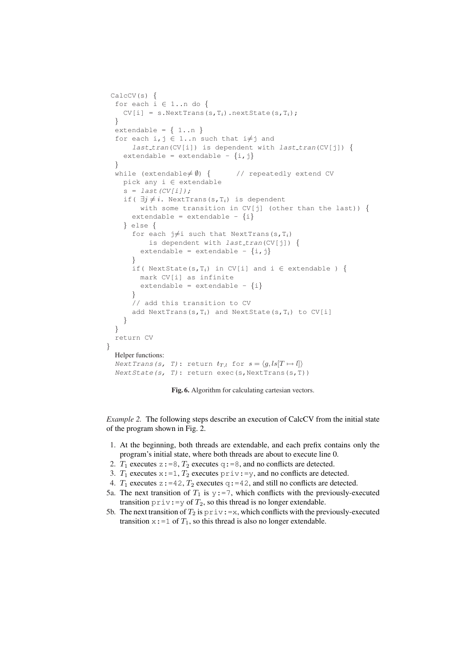```
CalcCV(s) {
  for each i \in 1..n do {
    CV[i] = s.NextTrans(s, T_i).nextState(s,T<sub>i</sub>);
  }
  extendable = \{ 1..n \}for each i, j \in 1..n such that i\neq j and
       last_tran(CV[i]) is dependent with last_tran(CV[j]) {
    extendable = extendable - \{i, j\}}
  while (extendable\neq \emptyset) { // repeatedly extend CV
    pick any i ∈ extendable
    s = last(CV[i]);if( \exists j \neq i. NextTrans(s,T<sub>i</sub>) is dependent
         with some transition in CV[j] (other than the last)) \{extendable = extendable - \{i\}} else {
       for each j\neq i such that NextTrans(s, T<sub>i</sub>)
           is dependent with last_tran(CV[j]) {
         extendable = extendable - \{i, j\}}
       if( NextState(s, T<sub>i</sub>) in CV[i] and i \in extendable ) {
         mark CV[i] as infinite
         extendable = extendable - \{i\}}
       // add this transition to CV
      add NextTrans(s,Ti) and NextState(s,Ti) to CV[i]
    }
  }
  return CV
}
  Helper functions:
  NextTrans(s, T): return t_{T,l} for s = \langle g, ls[T \mapsto l] \rangleNextState(s, T): return exec(s,NextTrans(s,T))
```
Fig. 6. Algorithm for calculating cartesian vectors.

*Example 2.* The following steps describe an execution of CalcCV from the initial state of the program shown in Fig. 2.

- 1. At the beginning, both threads are extendable, and each prefix contains only the program's initial state, where both threads are about to execute line 0.
- 2.  $T_1$  executes  $z := 8$ ,  $T_2$  executes  $q := 8$ , and no conflicts are detected.
- 3.  $T_1$  executes  $x:=1$ ,  $T_2$  executes  $pri v:=y$ , and no conflicts are detected.
- 4.  $T_1$  executes z: =42,  $T_2$  executes q: =42, and still no conflicts are detected.
- 5a. The next transition of  $T_1$  is  $y := 7$ , which conflicts with the previously-executed transition  $\text{priv}$ : =y of  $T_2$ , so this thread is no longer extendable.
- 5b. The next transition of  $T_2$  is  $priv:=x$ , which conflicts with the previously-executed transition  $x := 1$  of  $T_1$ , so this thread is also no longer extendable.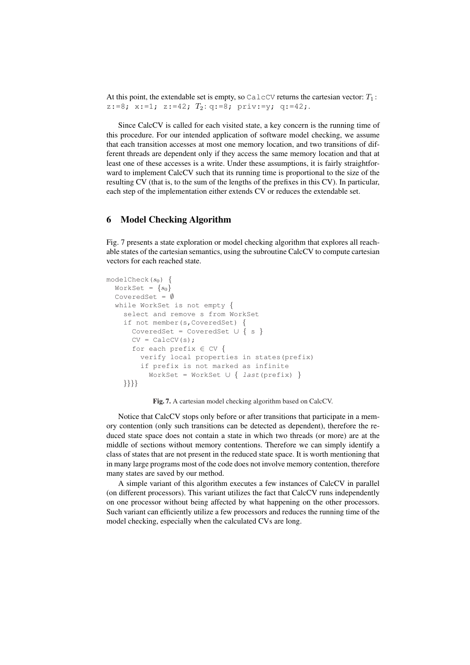At this point, the extendable set is empty, so CalcCV returns the cartesian vector:  $T_1$ : z:=8; x:=1; z:=42;  $T_2:q:=8$ ; priv:=y; q:=42;.

Since CalcCV is called for each visited state, a key concern is the running time of this procedure. For our intended application of software model checking, we assume that each transition accesses at most one memory location, and two transitions of different threads are dependent only if they access the same memory location and that at least one of these accesses is a write. Under these assumptions, it is fairly straightforward to implement CalcCV such that its running time is proportional to the size of the resulting CV (that is, to the sum of the lengths of the prefixes in this CV). In particular, each step of the implementation either extends CV or reduces the extendable set.

# 6 Model Checking Algorithm

Fig. 7 presents a state exploration or model checking algorithm that explores all reachable states of the cartesian semantics, using the subroutine CalcCV to compute cartesian vectors for each reached state.

```
modelCheck(s_0) {
  WorkSet = \{s_0\}CoveredSet = \emptysetwhile WorkSet is not empty {
    select and remove s from WorkSet
    if not member(s,CoveredSet) {
      CoveredSet = CoveredSet \cup \{ s \}CV = CalcCV(s);for each prefix \in CV {
        verify local properties in states(prefix)
        if prefix is not marked as infinite
           WorkSet = WorkSet \cup { last(prefix) }
    }}}}
```
### Fig. 7. A cartesian model checking algorithm based on CalcCV.

Notice that CalcCV stops only before or after transitions that participate in a memory contention (only such transitions can be detected as dependent), therefore the reduced state space does not contain a state in which two threads (or more) are at the middle of sections without memory contentions. Therefore we can simply identify a class of states that are not present in the reduced state space. It is worth mentioning that in many large programs most of the code does not involve memory contention, therefore many states are saved by our method.

A simple variant of this algorithm executes a few instances of CalcCV in parallel (on different processors). This variant utilizes the fact that CalcCV runs independently on one processor without being affected by what happening on the other processors. Such variant can efficiently utilize a few processors and reduces the running time of the model checking, especially when the calculated CVs are long.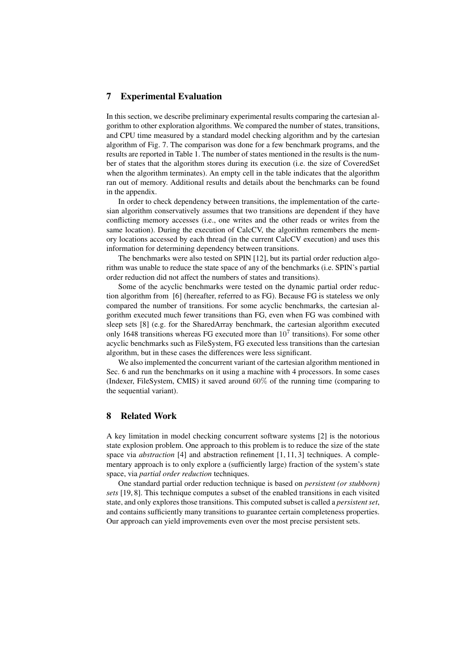### 7 Experimental Evaluation

In this section, we describe preliminary experimental results comparing the cartesian algorithm to other exploration algorithms. We compared the number of states, transitions, and CPU time measured by a standard model checking algorithm and by the cartesian algorithm of Fig. 7. The comparison was done for a few benchmark programs, and the results are reported in Table 1. The number of states mentioned in the results is the number of states that the algorithm stores during its execution (i.e. the size of CoveredSet when the algorithm terminates). An empty cell in the table indicates that the algorithm ran out of memory. Additional results and details about the benchmarks can be found in the appendix.

In order to check dependency between transitions, the implementation of the cartesian algorithm conservatively assumes that two transitions are dependent if they have conflicting memory accesses (i.e., one writes and the other reads or writes from the same location). During the execution of CalcCV, the algorithm remembers the memory locations accessed by each thread (in the current CalcCV execution) and uses this information for determining dependency between transitions.

The benchmarks were also tested on SPIN [12], but its partial order reduction algorithm was unable to reduce the state space of any of the benchmarks (i.e. SPIN's partial order reduction did not affect the numbers of states and transitions).

Some of the acyclic benchmarks were tested on the dynamic partial order reduction algorithm from [6] (hereafter, referred to as FG). Because FG is stateless we only compared the number of transitions. For some acyclic benchmarks, the cartesian algorithm executed much fewer transitions than FG, even when FG was combined with sleep sets [8] (e.g. for the SharedArray benchmark, the cartesian algorithm executed only 1648 transitions whereas FG executed more than  $10<sup>7</sup>$  transitions). For some other acyclic benchmarks such as FileSystem, FG executed less transitions than the cartesian algorithm, but in these cases the differences were less significant.

We also implemented the concurrent variant of the cartesian algorithm mentioned in Sec. 6 and run the benchmarks on it using a machine with 4 processors. In some cases (Indexer, FileSystem, CMIS) it saved around 60% of the running time (comparing to the sequential variant).

### 8 Related Work

A key limitation in model checking concurrent software systems [2] is the notorious state explosion problem. One approach to this problem is to reduce the size of the state space via *abstraction* [4] and abstraction refinement [1, 11, 3] techniques. A complementary approach is to only explore a (sufficiently large) fraction of the system's state space, via *partial order reduction* techniques.

One standard partial order reduction technique is based on *persistent (or stubborn) sets* [19, 8]. This technique computes a subset of the enabled transitions in each visited state, and only explores those transitions. This computed subset is called a *persistent set*, and contains sufficiently many transitions to guarantee certain completeness properties. Our approach can yield improvements even over the most precise persistent sets.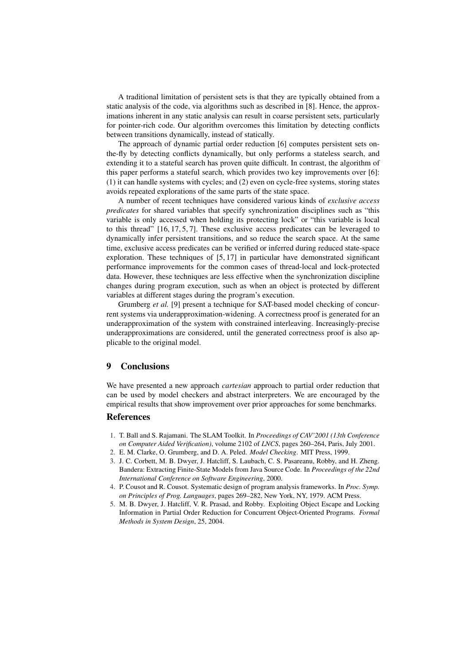A traditional limitation of persistent sets is that they are typically obtained from a static analysis of the code, via algorithms such as described in [8]. Hence, the approximations inherent in any static analysis can result in coarse persistent sets, particularly for pointer-rich code. Our algorithm overcomes this limitation by detecting conflicts between transitions dynamically, instead of statically.

The approach of dynamic partial order reduction [6] computes persistent sets onthe-fly by detecting conflicts dynamically, but only performs a stateless search, and extending it to a stateful search has proven quite difficult. In contrast, the algorithm of this paper performs a stateful search, which provides two key improvements over [6]: (1) it can handle systems with cycles; and (2) even on cycle-free systems, storing states avoids repeated explorations of the same parts of the state space.

A number of recent techniques have considered various kinds of *exclusive access predicates* for shared variables that specify synchronization disciplines such as "this variable is only accessed when holding its protecting lock" or "this variable is local to this thread" [16, 17, 5, 7]. These exclusive access predicates can be leveraged to dynamically infer persistent transitions, and so reduce the search space. At the same time, exclusive access predicates can be verified or inferred during reduced state-space exploration. These techniques of [5, 17] in particular have demonstrated significant performance improvements for the common cases of thread-local and lock-protected data. However, these techniques are less effective when the synchronization discipline changes during program execution, such as when an object is protected by different variables at different stages during the program's execution.

Grumberg *et al.* [9] present a technique for SAT-based model checking of concurrent systems via underapproximation-widening. A correctness proof is generated for an underapproximation of the system with constrained interleaving. Increasingly-precise underapproximations are considered, until the generated correctness proof is also applicable to the original model.

### 9 Conclusions

We have presented a new approach *cartesian* approach to partial order reduction that can be used by model checkers and abstract interpreters. We are encouraged by the empirical results that show improvement over prior approaches for some benchmarks.

### References

- 1. T. Ball and S. Rajamani. The SLAM Toolkit. In *Proceedings of CAV'2001 (13th Conference on Computer Aided Verification)*, volume 2102 of *LNCS*, pages 260–264, Paris, July 2001.
- 2. E. M. Clarke, O. Grumberg, and D. A. Peled. *Model Checking*. MIT Press, 1999.
- 3. J. C. Corbett, M. B. Dwyer, J. Hatcliff, S. Laubach, C. S. Pasareanu, Robby, and H. Zheng. Bandera: Extracting Finite-State Models from Java Source Code. In *Proceedings of the 22nd International Conference on Software Engineering*, 2000.
- 4. P. Cousot and R. Cousot. Systematic design of program analysis frameworks. In *Proc. Symp. on Principles of Prog. Languages*, pages 269–282, New York, NY, 1979. ACM Press.
- 5. M. B. Dwyer, J. Hatcliff, V. R. Prasad, and Robby. Exploiting Object Escape and Locking Information in Partial Order Reduction for Concurrent Object-Oriented Programs. *Formal Methods in System Design*, 25, 2004.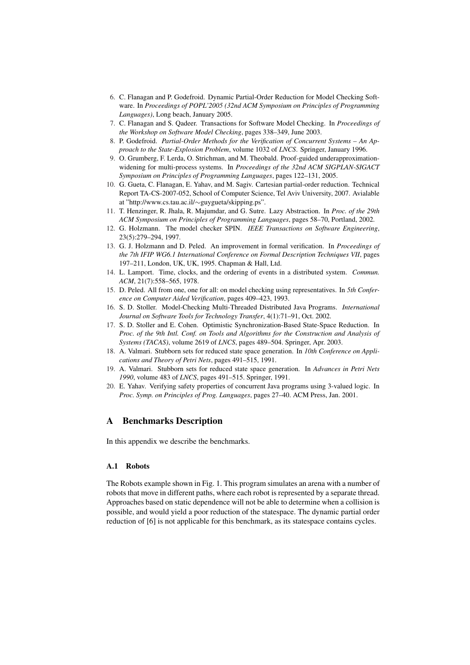- 6. C. Flanagan and P. Godefroid. Dynamic Partial-Order Reduction for Model Checking Software. In *Proceedings of POPL'2005 (32nd ACM Symposium on Principles of Programming Languages)*, Long beach, January 2005.
- 7. C. Flanagan and S. Qadeer. Transactions for Software Model Checking. In *Proceedings of the Workshop on Software Model Checking*, pages 338–349, June 2003.
- 8. P. Godefroid. *Partial-Order Methods for the Verification of Concurrent Systems An Approach to the State-Explosion Problem*, volume 1032 of *LNCS*. Springer, January 1996.
- 9. O. Grumberg, F. Lerda, O. Strichman, and M. Theobald. Proof-guided underapproximationwidening for multi-process systems. In *Proceedings of the 32nd ACM SIGPLAN-SIGACT Symposium on Principles of Programming Languages*, pages 122–131, 2005.
- 10. G. Gueta, C. Flanagan, E. Yahav, and M. Sagiv. Cartesian partial-order reduction. Technical Report TA-CS-2007-052, School of Computer Science, Tel Aviv University, 2007. Avialable at "http://www.cs.tau.ac.il/∼guygueta/skipping.ps".
- 11. T. Henzinger, R. Jhala, R. Majumdar, and G. Sutre. Lazy Abstraction. In *Proc. of the 29th ACM Symposium on Principles of Programming Languages*, pages 58–70, Portland, 2002.
- 12. G. Holzmann. The model checker SPIN. *IEEE Transactions on Software Engineering*, 23(5):279–294, 1997.
- 13. G. J. Holzmann and D. Peled. An improvement in formal verification. In *Proceedings of the 7th IFIP WG6.1 International Conference on Formal Description Techniques VII*, pages 197–211, London, UK, UK, 1995. Chapman & Hall, Ltd.
- 14. L. Lamport. Time, clocks, and the ordering of events in a distributed system. *Commun. ACM*, 21(7):558–565, 1978.
- 15. D. Peled. All from one, one for all: on model checking using representatives. In *5th Conference on Computer Aided Verification*, pages 409–423, 1993.
- 16. S. D. Stoller. Model-Checking Multi-Threaded Distributed Java Programs. *International Journal on Software Tools for Technology Transfer*, 4(1):71–91, Oct. 2002.
- 17. S. D. Stoller and E. Cohen. Optimistic Synchronization-Based State-Space Reduction. In *Proc. of the 9th Intl. Conf. on Tools and Algorithms for the Construction and Analysis of Systems (TACAS)*, volume 2619 of *LNCS*, pages 489–504. Springer, Apr. 2003.
- 18. A. Valmari. Stubborn sets for reduced state space generation. In *10th Conference on Applications and Theory of Petri Nets*, pages 491–515, 1991.
- 19. A. Valmari. Stubborn sets for reduced state space generation. In *Advances in Petri Nets 1990*, volume 483 of *LNCS*, pages 491–515. Springer, 1991.
- 20. E. Yahav. Verifying safety properties of concurrent Java programs using 3-valued logic. In *Proc. Symp. on Principles of Prog. Languages*, pages 27–40. ACM Press, Jan. 2001.

# A Benchmarks Description

In this appendix we describe the benchmarks.

#### A.1 Robots

The Robots example shown in Fig. 1. This program simulates an arena with a number of robots that move in different paths, where each robot is represented by a separate thread. Approaches based on static dependence will not be able to determine when a collision is possible, and would yield a poor reduction of the statespace. The dynamic partial order reduction of [6] is not applicable for this benchmark, as its statespace contains cycles.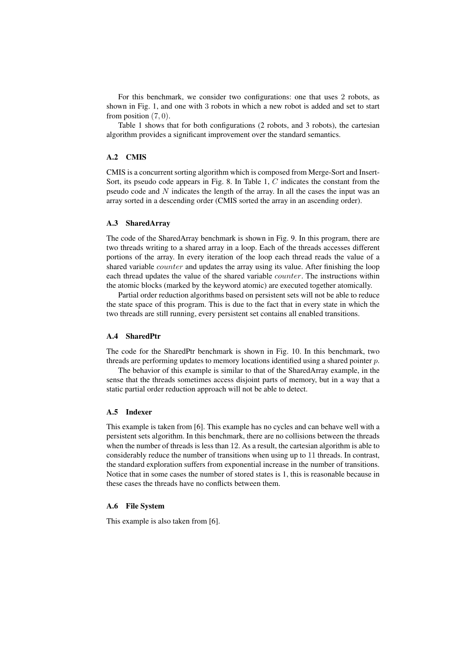For this benchmark, we consider two configurations: one that uses 2 robots, as shown in Fig. 1, and one with 3 robots in which a new robot is added and set to start from position  $(7, 0)$ .

Table 1 shows that for both configurations (2 robots, and 3 robots), the cartesian algorithm provides a significant improvement over the standard semantics.

#### A.2 CMIS

CMIS is a concurrent sorting algorithm which is composed from Merge-Sort and Insert-Sort, its pseudo code appears in Fig. 8. In Table 1,  $C$  indicates the constant from the pseudo code and  $N$  indicates the length of the array. In all the cases the input was an array sorted in a descending order (CMIS sorted the array in an ascending order).

#### A.3 SharedArray

The code of the SharedArray benchmark is shown in Fig. 9. In this program, there are two threads writing to a shared array in a loop. Each of the threads accesses different portions of the array. In every iteration of the loop each thread reads the value of a shared variable *counter* and updates the array using its value. After finishing the loop each thread updates the value of the shared variable counter. The instructions within the atomic blocks (marked by the keyword atomic) are executed together atomically.

Partial order reduction algorithms based on persistent sets will not be able to reduce the state space of this program. This is due to the fact that in every state in which the two threads are still running, every persistent set contains all enabled transitions.

#### A.4 SharedPtr

The code for the SharedPtr benchmark is shown in Fig. 10. In this benchmark, two threads are performing updates to memory locations identified using a shared pointer  $p$ .

The behavior of this example is similar to that of the SharedArray example, in the sense that the threads sometimes access disjoint parts of memory, but in a way that a static partial order reduction approach will not be able to detect.

### A.5 Indexer

This example is taken from [6]. This example has no cycles and can behave well with a persistent sets algorithm. In this benchmark, there are no collisions between the threads when the number of threads is less than 12. As a result, the cartesian algorithm is able to considerably reduce the number of transitions when using up to 11 threads. In contrast, the standard exploration suffers from exponential increase in the number of transitions. Notice that in some cases the number of stored states is 1, this is reasonable because in these cases the threads have no conflicts between them.

### A.6 File System

This example is also taken from [6].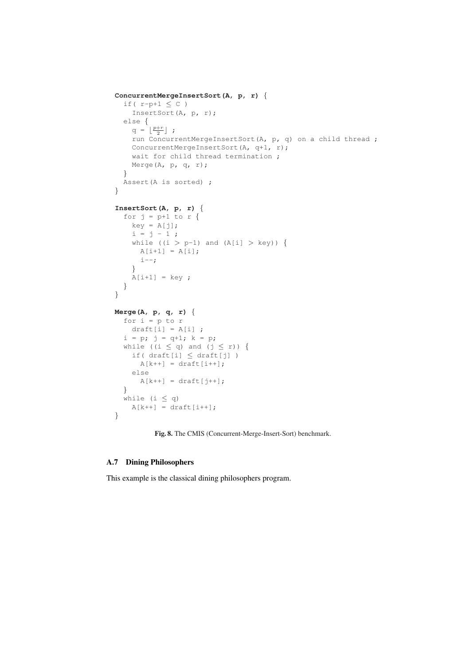```
ConcurrentMergeInsertSort(A, p, r) {
  if( r-p+1 \leq C )
    InsertSort(A, p, r);
  else {
    q = \left\lfloor \frac{p+r}{2} \right\rfloor ;
    run ConcurrentMergeInsertSort(A, p, q) on a child thread ;
    ConcurrentMergeInsertSort(A, q+1, r);
    wait for child thread termination ;
   Merge(A, p, q, r);
  }
  Assert(A is sorted) ;
}
InsertSort(A, p, r) {
  for j = p+1 to r \{key = A[j];i = j - 1;while ((i > p-1) and (A[i] > key)) {
     A[i+1] = A[i];i--;
    }
    A[i+1] = key ;
  }
}
Merge(A, p, q, r) {
 for i = p to rdraft[i] = A[i];
  i = p; j = q+1; k = p;while ((i \leq q) and (j \leq r)) {
    if( draft[i] \le draft[j])A[k++] = draft[i++];else
      A[k++] = draft[j++];}
  while (i \leq q)
   A[k++] = drag[i++];}
```
Fig. 8. The CMIS (Concurrent-Merge-Insert-Sort) benchmark.

# A.7 Dining Philosophers

This example is the classical dining philosophers program.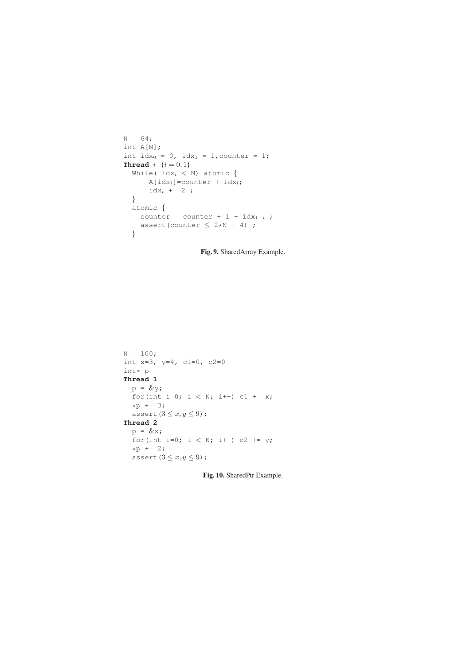```
N = 64;int A[N];
int idx_0 = 0, idx_1 = 1, counter = 1;
Thread i \quad (i = 0, 1)While(idx_i < N) atomic {
       A[idx_i] = counter + idx_i;idx<sub>i</sub> += 2 ;
  }
  atomic {
    counter = counter + 1 + idx<sub>1-i</sub> ;
    assert(counter \leq 2*N + 4);
  }
```

```
Fig. 9. SharedArray Example.
```

```
N = 100;int x=3, y=4, c1=0, c2=0int* p
Thread 1
 p = \&y;for(int i=0; i < N; i++) c1 += x;
  *p += 3;assert (3 \leq x, y \leq 9);
Thread 2
 p = \&x;for(int i=0; i < N; i++) c2 += y;
  *p += 2;assert (3 \leq x, y \leq 9);
```
Fig. 10. SharedPtr Example.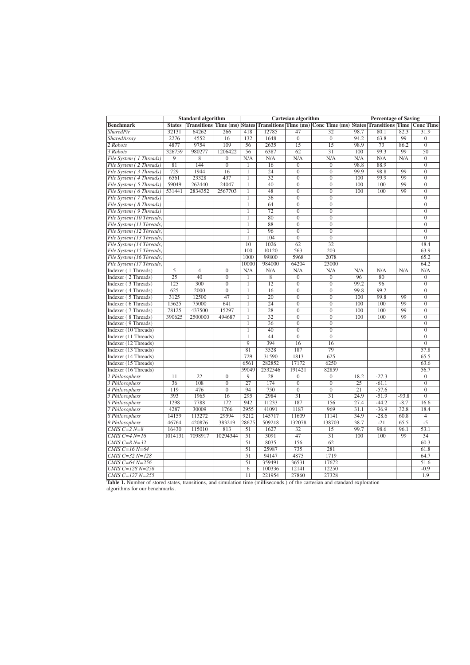|                          | <b>Standard algorithm</b> |                              | <b>Cartesian algorithm</b> |                 |                 |                 | <b>Percentage of Saving</b>                 |                 |                                            |         |                |
|--------------------------|---------------------------|------------------------------|----------------------------|-----------------|-----------------|-----------------|---------------------------------------------|-----------------|--------------------------------------------|---------|----------------|
| <b>Benchmark</b>         | <b>States</b>             | <b>Transitions</b> Time (ms) |                            |                 |                 |                 | States Transitions Time (ms) Conc Time (ms) |                 | <b>States Transitions Time   Conc Time</b> |         |                |
| <b>SharedPtr</b>         | 32131                     | 64262                        | 266                        | 418             | 12785           | 47              | 32                                          | 98.7            | 80.1                                       | 82.3    | 31.9           |
| SharedArray              | 2276                      | 4552                         | 16                         | 132             | 1648            | $\overline{0}$  | $\overline{0}$                              | 94.2            | 63.8                                       | 99      | $\overline{0}$ |
| 2 Robots                 | 4877                      | 9754                         | 109                        | 56              | 2635            | $\overline{15}$ | $\overline{15}$                             | 98.9            | 73                                         | 86.2    | $\overline{0}$ |
| 3 Robots                 | 326759                    | 980277                       | 1206422                    | 56              | 6387            | 62              | $\overline{31}$                             | 100             | 99.3                                       | 99      | 50             |
| File System (1 Threads)  | 9                         | 8                            | $\overline{0}$             | N/A             | N/A             | N/A             | N/A                                         | N/A             | N/A                                        | N/A     | $\overline{0}$ |
| File System (2 Threads)  | 81                        | 144                          | $\overline{0}$             | 1               | 16              | $\overline{0}$  | $\overline{0}$                              | 98.8            | 88.9                                       |         | $\overline{0}$ |
| File System (3 Threads)  | 729                       | 1944                         | 16                         | $\mathbf{1}$    | $\overline{24}$ | $\overline{0}$  | $\overline{0}$                              | 99.9            | 98.8                                       | 99      | $\overline{0}$ |
| File System (4 Threads)  | 6561                      | 23328                        | 437                        | 1               | 32              | $\overline{0}$  | $\overline{0}$                              | 100             | 99.9                                       | 99      | $\overline{0}$ |
| File System (5 Threads)  | 59049                     | 262440                       | 24047                      | $\overline{1}$  | 40              | $\overline{0}$  | $\overline{0}$                              | 100             | 100                                        | 99      | $\overline{0}$ |
| File System (6 Threads)  | 531441                    | 2834352                      | 2567703                    | $\mathbf{1}$    | 48              | $\overline{0}$  | $\overline{0}$                              | 100             | 100                                        | 99      | $\overline{0}$ |
| File System (7 Threads)  |                           |                              |                            | $\mathbf{1}$    | 56              | $\theta$        | $\overline{0}$                              |                 |                                            |         | $\theta$       |
| File System (8 Threads)  |                           |                              |                            | $\overline{1}$  | 64              | $\overline{0}$  | $\overline{0}$                              |                 |                                            |         | $\overline{0}$ |
| File System ( 9 Threads) |                           |                              |                            | $\mathbf{1}$    | $\overline{72}$ | $\overline{0}$  | $\overline{0}$                              |                 |                                            |         | $\Omega$       |
| File System (10 Threads) |                           |                              |                            | $\mathbf{1}$    | 80              | $\overline{0}$  | $\overline{0}$                              |                 |                                            |         | $\overline{0}$ |
| File System (11 Threads) |                           |                              |                            | 1               | 88              | $\overline{0}$  | $\overline{0}$                              |                 |                                            |         | $\overline{0}$ |
| File System (12 Threads) |                           |                              |                            | $\overline{1}$  | 96              | $\overline{0}$  | $\overline{0}$                              |                 |                                            |         | $\overline{0}$ |
| File System (13 Threads) |                           |                              |                            | $\overline{1}$  | 104             | $\overline{0}$  | $\overline{0}$                              |                 |                                            |         | $\overline{0}$ |
| File System (14 Threads) |                           |                              |                            | $\overline{10}$ | 1026            | 62              | $\overline{32}$                             |                 |                                            |         | 48.4           |
| File System (15 Threads) |                           |                              |                            | 100             | 10120           | 563             | 203                                         |                 |                                            |         | 63.9           |
| File System (16 Threads) |                           |                              |                            | 1000            | 99800           | 5968            | 2078                                        |                 |                                            |         | 65.2           |
| File System (17 Threads) |                           |                              |                            | 10000           | 984000          | 64204           | 23000                                       |                 |                                            |         | 64.2           |
| Indexer (1 Threads)      | 5                         | $\overline{4}$               | $\overline{0}$             | N/A             | N/A             | N/A             | N/A                                         | N/A             | N/A                                        | N/A     | N/A            |
| Indexer (2 Threads)      | $\overline{25}$           | 40                           | $\overline{0}$             | 1               | 8               | $\mathbf{0}$    | $\boldsymbol{0}$                            | 96              | 80                                         |         | $\mathbf{0}$   |
| Indexer (3 Threads)      | 125                       | 300                          | $\overline{0}$             | $\overline{1}$  | $\overline{12}$ | $\overline{0}$  | $\overline{0}$                              | 99.2            | 96                                         |         | $\overline{0}$ |
| Indexer (4 Threads)      | 625                       | 2000                         | $\overline{0}$             | $\overline{1}$  | 16              | $\overline{0}$  | $\overline{0}$                              | 99.8            | 99.2                                       |         | $\overline{0}$ |
| Indexer (5 Threads)      | 3125                      | 12500                        | 47                         | $\mathbf{1}$    | 20              | $\Omega$        | $\overline{0}$                              | 100             | 99.8                                       | 99      | $\Omega$       |
| Indexer (6 Threads)      | 15625                     | 75000                        | 641                        | $\overline{1}$  | 24              | $\overline{0}$  | $\overline{0}$                              | 100             | 100                                        | 99      | $\overline{0}$ |
| Indexer (7 Threads)      | 78125                     | 437500                       | 15297                      | $\overline{1}$  | $\overline{28}$ | $\overline{0}$  | $\overline{0}$                              | 100             | 100                                        | 99      | $\overline{0}$ |
| Indexer (8 Threads)      | 390625                    | 2500000                      | 494687                     | 1               | 32              | $\overline{0}$  | $\overline{0}$                              | 100             | 100                                        | 99      | $\overline{0}$ |
| Indexer (9 Threads)      |                           |                              |                            | 1               | 36              | $\overline{0}$  | $\overline{0}$                              |                 |                                            |         | $\overline{0}$ |
| Indexer (10 Threads)     |                           |                              |                            | $\overline{1}$  | 40              | $\overline{0}$  | $\overline{0}$                              |                 |                                            |         | $\overline{0}$ |
| Indexer (11 Threads)     |                           |                              |                            | $\mathbf{1}$    | 44              | $\overline{0}$  | $\overline{0}$                              |                 |                                            |         | $\overline{0}$ |
| Indexer (12 Threads)     |                           |                              |                            | $\overline{9}$  | 394             | 16              | 16                                          |                 |                                            |         | $\overline{0}$ |
| Indexer (13 Threads)     |                           |                              |                            | 81              | 3528            | 187             | 79                                          |                 |                                            |         | 57.8           |
| Indexer (14 Threads)     |                           |                              |                            | 729             | 31590           | 1813            | 625                                         |                 |                                            |         | 65.5           |
| Indexer (15 Threads)     |                           |                              |                            | 6561            | 282852          | 17172           | 6250                                        |                 |                                            |         | 63.6           |
| Indexer (16 Threads)     |                           |                              |                            | 59049           | 2532546         | 191421          | 82859                                       |                 |                                            |         | 56.7           |
| 2 Philosophers           | 11                        | 22                           | $\mathbf{0}$               | $\overline{9}$  | 28              | $\mathbf{0}$    | $\boldsymbol{0}$                            | 18.2            | $-27.3$                                    |         | $\mathbf{0}$   |
| 3 Philosophers           | 36                        | 108                          | $\overline{0}$             | 27              | 174             | $\overline{0}$  | $\overline{0}$                              | 25              | $-61.1$                                    |         | $\overline{0}$ |
| 4 Philosophers           | 119                       | 476                          | $\overline{0}$             | 94              | 750             | $\overline{0}$  | $\overline{0}$                              | $\overline{21}$ | $-57.6$                                    |         | $\overline{0}$ |
| 5 Philosophers           | 393                       | 1965                         | 16                         | 295             | 2984            | $\overline{31}$ | $\overline{31}$                             | 24.9            | $-51.9$                                    | $-93.8$ | $\overline{0}$ |
| 6 Philosophers           | 1298                      | 7788                         | 172                        | 942             | 11233           | 187             | 156                                         | 27.4            | $-44.2$                                    | $-8.7$  | 16.6           |
| <b>7 Philosophers</b>    | 4287                      | 30009                        | 1766                       | 2955            | 41091           | 1187            | 969                                         | 31.1            | $-36.9$                                    | 32.8    | 18.4           |
| 8 Philosophers           | 14159                     | 113272                       | 29594                      | 9212            | 145717          | 11609           | 11141                                       | 34.9            | $-28.6$                                    | 60.8    | $\overline{4}$ |
| 9 Philosophers           | 46764                     | 420876                       | 383219                     | 28675           | 509218          | 132078          | 138703                                      | 38.7            | $-21$                                      | 65.5    | $-5$           |
| CMIS $C=2N=8$            | 16430                     | 115010                       | 813                        | 51              | 1627            | 32              | 15                                          | 99.7            | 98.6                                       | 96.1    | 53.1           |
| CMIS $C=4$ $N=16$        | 1014131                   | 7098917                      | 10294344                   | $\overline{51}$ | 3091            | $\overline{47}$ | $\overline{31}$                             | 100             | 100                                        | 99      | 34             |
| CMIS $C=8 N=32$          |                           |                              |                            | 51              | 8035            | 156             | 62                                          |                 |                                            |         | 60.3           |
| CMIS $C=16 N=64$         |                           |                              |                            | 51              | 25987           | 735             | 281                                         |                 |                                            |         | 61.8           |
| CMIS $C=32 N=128$        |                           |                              |                            | $\overline{51}$ | 94147           | 4875            | 1719                                        |                 |                                            |         | 64.7           |
| CMIS $C=64$ $N=256$      |                           |                              |                            | 51              | 359491          | 36531           | 17672                                       |                 |                                            |         | 51.6           |
| CMIS $C = 128 N = 256$   |                           |                              |                            | 6               | 100336          | 12141           | 12250                                       |                 |                                            |         | $-0.9$         |
| CMIS $C=127 N=255$       |                           |                              |                            | $\overline{11}$ | 221954          | 27860           | 27328                                       |                 |                                            |         | 1.9            |

Table 1. Number of stored states, transitions, and simulation time (milliseconds.) of the cartesian and standard exploration algorithms for our benchmarks.